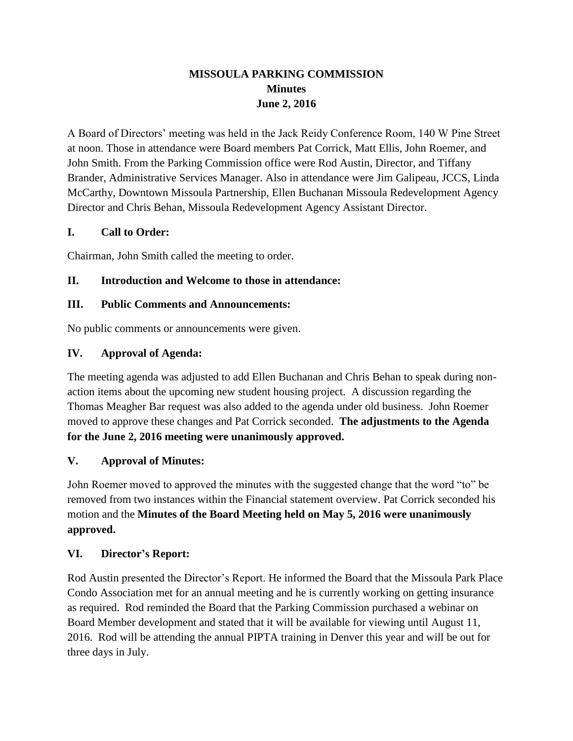# **MISSOULA PARKING COMMISSION Minutes June 2, 2016**

A Board of Directors' meeting was held in the Jack Reidy Conference Room, 140 W Pine Street at noon. Those in attendance were Board members Pat Corrick, Matt Ellis, John Roemer, and John Smith. From the Parking Commission office were Rod Austin, Director, and Tiffany Brander, Administrative Services Manager. Also in attendance were Jim Galipeau, JCCS, Linda McCarthy, Downtown Missoula Partnership, Ellen Buchanan Missoula Redevelopment Agency Director and Chris Behan, Missoula Redevelopment Agency Assistant Director.

## **I. Call to Order:**

Chairman, John Smith called the meeting to order.

## **II. Introduction and Welcome to those in attendance:**

### **III. Public Comments and Announcements:**

No public comments or announcements were given.

## **IV. Approval of Agenda:**

The meeting agenda was adjusted to add Ellen Buchanan and Chris Behan to speak during nonaction items about the upcoming new student housing project. A discussion regarding the Thomas Meagher Bar request was also added to the agenda under old business. John Roemer moved to approve these changes and Pat Corrick seconded. **The adjustments to the Agenda for the June 2, 2016 meeting were unanimously approved.**

# **V. Approval of Minutes:**

John Roemer moved to approved the minutes with the suggested change that the word "to" be removed from two instances within the Financial statement overview. Pat Corrick seconded his motion and the **Minutes of the Board Meeting held on May 5, 2016 were unanimously approved.**

### **VI. Director's Report:**

Rod Austin presented the Director's Report. He informed the Board that the Missoula Park Place Condo Association met for an annual meeting and he is currently working on getting insurance as required. Rod reminded the Board that the Parking Commission purchased a webinar on Board Member development and stated that it will be available for viewing until August 11, 2016. Rod will be attending the annual PIPTA training in Denver this year and will be out for three days in July.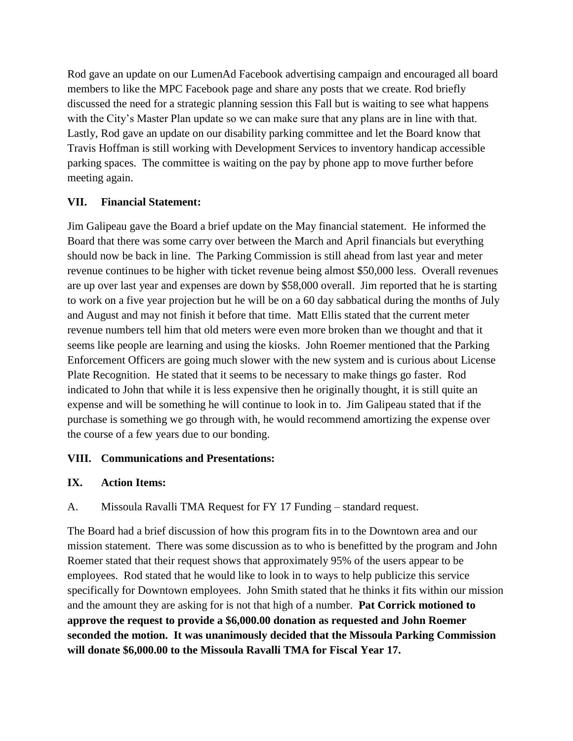Rod gave an update on our LumenAd Facebook advertising campaign and encouraged all board members to like the MPC Facebook page and share any posts that we create. Rod briefly discussed the need for a strategic planning session this Fall but is waiting to see what happens with the City's Master Plan update so we can make sure that any plans are in line with that. Lastly, Rod gave an update on our disability parking committee and let the Board know that Travis Hoffman is still working with Development Services to inventory handicap accessible parking spaces. The committee is waiting on the pay by phone app to move further before meeting again.

## **VII. Financial Statement:**

Jim Galipeau gave the Board a brief update on the May financial statement. He informed the Board that there was some carry over between the March and April financials but everything should now be back in line. The Parking Commission is still ahead from last year and meter revenue continues to be higher with ticket revenue being almost \$50,000 less. Overall revenues are up over last year and expenses are down by \$58,000 overall. Jim reported that he is starting to work on a five year projection but he will be on a 60 day sabbatical during the months of July and August and may not finish it before that time. Matt Ellis stated that the current meter revenue numbers tell him that old meters were even more broken than we thought and that it seems like people are learning and using the kiosks. John Roemer mentioned that the Parking Enforcement Officers are going much slower with the new system and is curious about License Plate Recognition. He stated that it seems to be necessary to make things go faster. Rod indicated to John that while it is less expensive then he originally thought, it is still quite an expense and will be something he will continue to look in to. Jim Galipeau stated that if the purchase is something we go through with, he would recommend amortizing the expense over the course of a few years due to our bonding.

### **VIII. Communications and Presentations:**

# **IX. Action Items:**

A. Missoula Ravalli TMA Request for FY 17 Funding – standard request.

The Board had a brief discussion of how this program fits in to the Downtown area and our mission statement. There was some discussion as to who is benefitted by the program and John Roemer stated that their request shows that approximately 95% of the users appear to be employees. Rod stated that he would like to look in to ways to help publicize this service specifically for Downtown employees. John Smith stated that he thinks it fits within our mission and the amount they are asking for is not that high of a number. **Pat Corrick motioned to approve the request to provide a \$6,000.00 donation as requested and John Roemer seconded the motion. It was unanimously decided that the Missoula Parking Commission will donate \$6,000.00 to the Missoula Ravalli TMA for Fiscal Year 17.**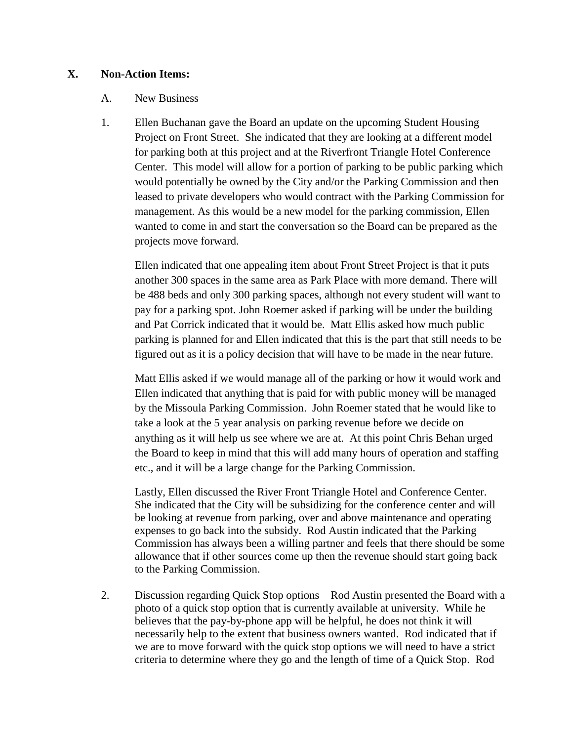#### **X. Non-Action Items:**

#### A. New Business

1. Ellen Buchanan gave the Board an update on the upcoming Student Housing Project on Front Street. She indicated that they are looking at a different model for parking both at this project and at the Riverfront Triangle Hotel Conference Center. This model will allow for a portion of parking to be public parking which would potentially be owned by the City and/or the Parking Commission and then leased to private developers who would contract with the Parking Commission for management. As this would be a new model for the parking commission, Ellen wanted to come in and start the conversation so the Board can be prepared as the projects move forward.

Ellen indicated that one appealing item about Front Street Project is that it puts another 300 spaces in the same area as Park Place with more demand. There will be 488 beds and only 300 parking spaces, although not every student will want to pay for a parking spot. John Roemer asked if parking will be under the building and Pat Corrick indicated that it would be. Matt Ellis asked how much public parking is planned for and Ellen indicated that this is the part that still needs to be figured out as it is a policy decision that will have to be made in the near future.

Matt Ellis asked if we would manage all of the parking or how it would work and Ellen indicated that anything that is paid for with public money will be managed by the Missoula Parking Commission. John Roemer stated that he would like to take a look at the 5 year analysis on parking revenue before we decide on anything as it will help us see where we are at. At this point Chris Behan urged the Board to keep in mind that this will add many hours of operation and staffing etc., and it will be a large change for the Parking Commission.

Lastly, Ellen discussed the River Front Triangle Hotel and Conference Center. She indicated that the City will be subsidizing for the conference center and will be looking at revenue from parking, over and above maintenance and operating expenses to go back into the subsidy. Rod Austin indicated that the Parking Commission has always been a willing partner and feels that there should be some allowance that if other sources come up then the revenue should start going back to the Parking Commission.

2. Discussion regarding Quick Stop options – Rod Austin presented the Board with a photo of a quick stop option that is currently available at university. While he believes that the pay-by-phone app will be helpful, he does not think it will necessarily help to the extent that business owners wanted. Rod indicated that if we are to move forward with the quick stop options we will need to have a strict criteria to determine where they go and the length of time of a Quick Stop. Rod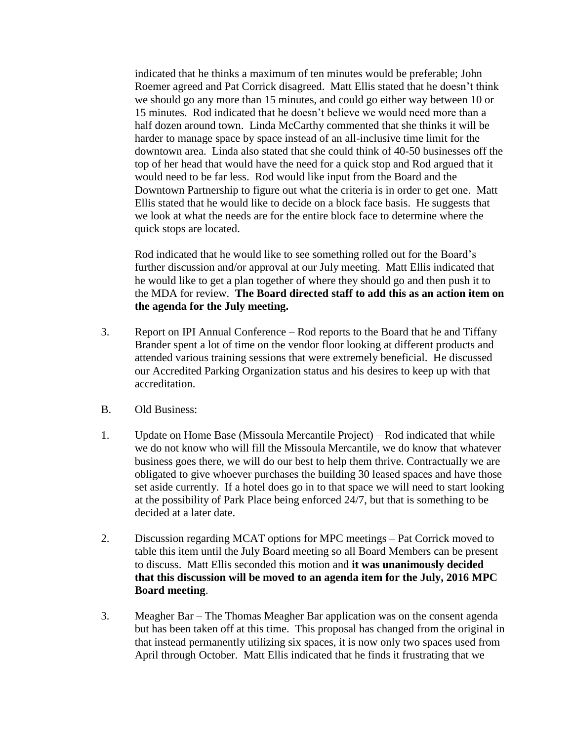indicated that he thinks a maximum of ten minutes would be preferable; John Roemer agreed and Pat Corrick disagreed. Matt Ellis stated that he doesn't think we should go any more than 15 minutes, and could go either way between 10 or 15 minutes. Rod indicated that he doesn't believe we would need more than a half dozen around town. Linda McCarthy commented that she thinks it will be harder to manage space by space instead of an all-inclusive time limit for the downtown area. Linda also stated that she could think of 40-50 businesses off the top of her head that would have the need for a quick stop and Rod argued that it would need to be far less. Rod would like input from the Board and the Downtown Partnership to figure out what the criteria is in order to get one. Matt Ellis stated that he would like to decide on a block face basis. He suggests that we look at what the needs are for the entire block face to determine where the quick stops are located.

Rod indicated that he would like to see something rolled out for the Board's further discussion and/or approval at our July meeting. Matt Ellis indicated that he would like to get a plan together of where they should go and then push it to the MDA for review. **The Board directed staff to add this as an action item on the agenda for the July meeting.** 

- 3. Report on IPI Annual Conference Rod reports to the Board that he and Tiffany Brander spent a lot of time on the vendor floor looking at different products and attended various training sessions that were extremely beneficial. He discussed our Accredited Parking Organization status and his desires to keep up with that accreditation.
- B. Old Business:
- 1. Update on Home Base (Missoula Mercantile Project) Rod indicated that while we do not know who will fill the Missoula Mercantile, we do know that whatever business goes there, we will do our best to help them thrive. Contractually we are obligated to give whoever purchases the building 30 leased spaces and have those set aside currently. If a hotel does go in to that space we will need to start looking at the possibility of Park Place being enforced 24/7, but that is something to be decided at a later date.
- 2. Discussion regarding MCAT options for MPC meetings Pat Corrick moved to table this item until the July Board meeting so all Board Members can be present to discuss. Matt Ellis seconded this motion and **it was unanimously decided that this discussion will be moved to an agenda item for the July, 2016 MPC Board meeting**.
- 3. Meagher Bar The Thomas Meagher Bar application was on the consent agenda but has been taken off at this time. This proposal has changed from the original in that instead permanently utilizing six spaces, it is now only two spaces used from April through October. Matt Ellis indicated that he finds it frustrating that we